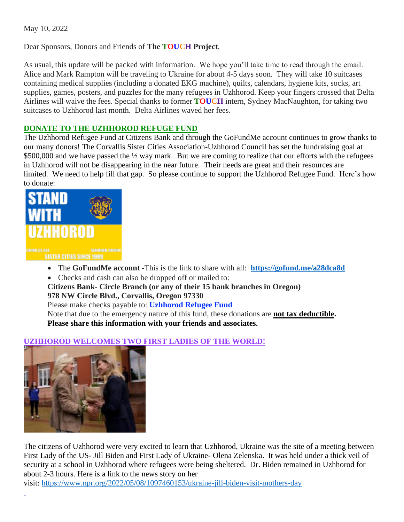May 10, 2022

Dear Sponsors, Donors and Friends of **The TOUCH Project**,

As usual, this update will be packed with information. We hope you'll take time to read through the email. Alice and Mark Rampton will be traveling to Ukraine for about 4-5 days soon. They will take 10 suitcases containing medical supplies (including a donated EKG machine), quilts, calendars, hygiene kits, socks, art supplies, games, posters, and puzzles for the many refugees in Uzhhorod. Keep your fingers crossed that Delta Airlines will waive the fees. Special thanks to former **TOUCH** intern, Sydney MacNaughton, for taking two suitcases to Uzhhorod last month. Delta Airlines waved her fees.

## **DONATE TO THE UZHHOROD REFUGE FUND**

The Uzhhorod Refugee Fund at Citizens Bank and through the GoFundMe account continues to grow thanks to our many donors! The Corvallis Sister Cities Association-Uzhhorod Council has set the fundraising goal at \$500,000 and we have passed the  $\frac{1}{2}$  way mark. But we are coming to realize that our efforts with the refugees in Uzhhorod will not be disappearing in the near future. Their needs are great and their resources are limited. We need to help fill that gap. So please continue to support the Uzhhorod Refugee Fund. Here's how to donate:



- The **GoFundMe account** -This is the link to share with all: **<https://gofund.me/a28dca8d>**
- Checks and cash can also be dropped off or mailed to:
- **Citizens Bank- Circle Branch (or any of their 15 bank branches in Oregon)**

### **978 NW Circle Blvd., Corvallis, Oregon 97330**

Please make checks payable to: **Uzhhorod Refugee Fund**

Note that due to the emergency nature of this fund, these donations are **not tax deductible. Please share this information with your friends and associates.**

# **UZHHOROD WELCOMES TWO FIRST LADIES OF THE WORLD!**



The citizens of Uzhhorod were very excited to learn that Uzhhorod, Ukraine was the site of a meeting between First Lady of the US- Jill Biden and First Lady of Ukraine- Olena Zelenska. It was held under a thick veil of security at a school in Uzhhorod where refugees were being sheltered. Dr. Biden remained in Uzhhorod for about 2-3 hours. Here is a link to the news story on her visit: <https://www.npr.org/2022/05/08/1097460153/ukraine-jill-biden-visit-mothers-day>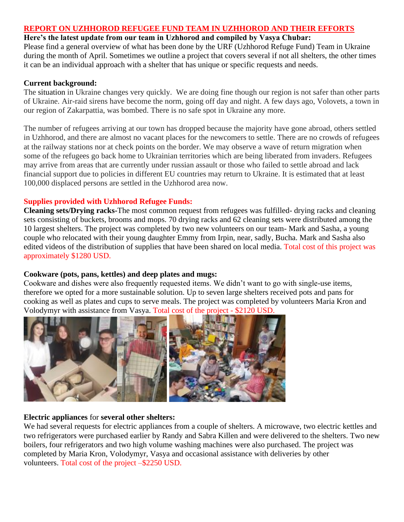## **REPORT ON UZHHOROD REFUGEE FUND TEAM IN UZHHOROD AND THEIR EFFORTS**

### **Here's the latest update from our team in Uzhhorod and compiled by Vasya Chubar:**

Please find a general overview of what has been done by the URF (Uzhhorod Refuge Fund) Team in Ukraine during the month of April. Sometimes we outline a project that covers several if not all shelters, the other times it can be an individual approach with a shelter that has unique or specific requests and needs.

#### **Current background:**

The situation in Ukraine changes very quickly. We are doing fine though our region is not safer than other parts of Ukraine. Air-raid sirens have become the norm, going off day and night. A few days ago, Volovets, a town in our region of Zakarpattia, was bombed. There is no safe spot in Ukraine any more.

The number of refugees arriving at our town has dropped because the majority have gone abroad, others settled in Uzhhorod, and there are almost no vacant places for the newcomers to settle. There are no crowds of refugees at the railway stations nor at check points on the border. We may observe a wave of return migration when some of the refugees go back home to Ukrainian territories which are being liberated from invaders. Refugees may arrive from areas that are currently under russian assault or those who failed to settle abroad and lack financial support due to policies in different EU countries may return to Ukraine. It is estimated that at least 100,000 displaced persons are settled in the Uzhhorod area now.

### **Supplies provided with Uzhhorod Refugee Funds:**

**Cleaning sets/Drying racks-**The most common request from refugees was fulfilled- drying racks and cleaning sets consisting of buckets, brooms and mops. 70 drying racks and 62 cleaning sets were distributed among the 10 largest shelters. The project was completed by two new volunteers on our team- Mark and Sasha, a young couple who relocated with their young daughter Emmy from Irpin, near, sadly, Bucha. Mark and Sasha also edited videos of the distribution of supplies that have been shared on local media. Total cost of this project was approximately \$1280 USD.

### **Cookware (pots, pans, kettles) and deep plates and mugs:**

Cookware and dishes were also frequently requested items. We didn't want to go with single-use items, therefore we opted for a more sustainable solution. Up to seven large shelters received pots and pans for cooking as well as plates and cups to serve meals. The project was completed by volunteers Maria Kron and Volodymyr with assistance from Vasya. Total cost of the project - \$2120 USD.



### **Electric appliances** for **several other shelters:**

We had several requests for electric appliances from a couple of shelters. A microwave, two electric kettles and two refrigerators were purchased earlier by Randy and Sabra Killen and were delivered to the shelters. Two new boilers, four refrigerators and two high volume washing machines were also purchased. The project was completed by Maria Kron, Volodymyr, Vasya and occasional assistance with deliveries by other volunteers. Total cost of the project –\$2250 USD.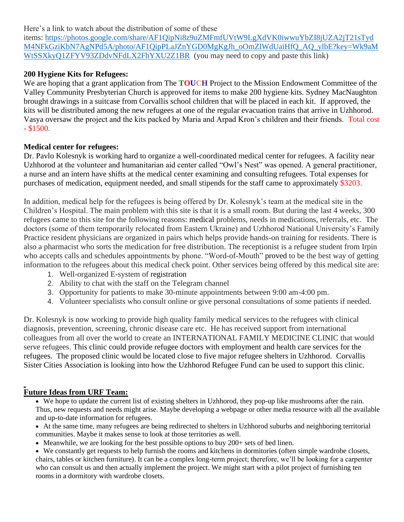## Here's a link to watch about the distribution of some of these

items: [https://photos.google.com/share/AF1QipNi8z9uZMFmfUVtW9LgXdVK0iwwuYbZI8jUZA2jT21sTyd](https://photos.google.com/share/AF1QipNi8z9uZMFmfUVtW9LgXdVK0iwwuYbZI8jUZA2jT21sTydM4NFkGziKbN7AgNPd5A/photo/AF1QipPLaJZnYGD0MgKgJh_oOmZlWdUaiHfQ_AQ_ylbE?key=Wk9aMWtSSXkyQ1ZFYV93ZDdvNFdLX2FhYXU2Z1BR) [M4NFkGziKbN7AgNPd5A/photo/AF1QipPLaJZnYGD0MgKgJh\\_oOmZlWdUaiHfQ\\_AQ\\_ylbE?key=Wk9aM](https://photos.google.com/share/AF1QipNi8z9uZMFmfUVtW9LgXdVK0iwwuYbZI8jUZA2jT21sTydM4NFkGziKbN7AgNPd5A/photo/AF1QipPLaJZnYGD0MgKgJh_oOmZlWdUaiHfQ_AQ_ylbE?key=Wk9aMWtSSXkyQ1ZFYV93ZDdvNFdLX2FhYXU2Z1BR) [WtSSXkyQ1ZFYV93ZDdvNFdLX2FhYXU2Z1BR](https://photos.google.com/share/AF1QipNi8z9uZMFmfUVtW9LgXdVK0iwwuYbZI8jUZA2jT21sTydM4NFkGziKbN7AgNPd5A/photo/AF1QipPLaJZnYGD0MgKgJh_oOmZlWdUaiHfQ_AQ_ylbE?key=Wk9aMWtSSXkyQ1ZFYV93ZDdvNFdLX2FhYXU2Z1BR) (you may need to copy and paste this link)

# **200 Hygiene Kits for Refugees:**

We are hoping that a grant application from The **TOUCH** Project to the Mission Endowment Committee of the Valley Community Presbyterian Church is approved for items to make 200 hygiene kits. Sydney MacNaughton brought drawings in a suitcase from Corvallis school children that will be placed in each kit. If approved, the kits will be distributed among the new refugees at one of the regular evacuation trains that arrive in Uzhhorod. Vasya oversaw the project and the kits packed by Maria and Arpad Kron's children and their friends. Total cost  $-$  \$1500.

# **Medical center for refugees:**

Dr. Pavlo Kolesnyk is working hard to organize a well-coordinated medical center for refugees. A facility near Uzhhorod at the volunteer and humanitarian aid center called "Owl's Nest" was opened. A general practitioner, a nurse and an intern have shifts at the medical center examining and consulting refugees. Total expenses for purchases of medication, equipment needed, and small stipends for the staff came to approximately \$3203.

In addition, medical help for the refugees is being offered by Dr. Kolesnyk's team at the medical site in the Children's Hospital. The main problem with this site is that it is a small room. But during the last 4 weeks, 300 refugees came to this site for the following reasons: medical problems, needs in medications, referrals, etc. The doctors (some of them temporarily relocated from Eastern Ukraine) and Uzhhorod National University's Family Practice resident physicians are organized in pairs which helps provide hands-on training for residents. There is also a pharmacist who sorts the medication for free distribution. The receptionist is a refugee student from Irpin who accepts calls and schedules appointments by phone. "Word-of-Mouth" proved to be the best way of getting information to the refugees about this medical check point. Other services being offered by this medical site are:

- 1. Well-organized E-system of registration
- 2. Ability to chat with the staff on the Telegram channel
- 3. Opportunity for patients to make 30-minute appointments between 9:00 am-4:00 pm.
- 4. Volunteer specialists who consult online or give personal consultations of some patients if needed.

Dr. Kolesnyk is now working to provide high quality family medical services to the refugees with clinical diagnosis, prevention, screening, chronic disease care etc. He has received support from international colleagues from all over the world to create an INTERNATIONAL FAMILY MEDICINE CLINIC that would serve refugees. This clinic could provide refugee doctors with employment and health care services for the refugees. The proposed clinic would be located close to five major refugee shelters in Uzhhorod. Corvallis Sister Cities Association is looking into how the Uzhhorod Refugee Fund can be used to support this clinic.

# **Future Ideas from URF Team:**

• We hope to update the current list of existing shelters in Uzhhorod, they pop-up like mushrooms after the rain. Thus, new requests and needs might arise. Maybe developing a webpage or other media resource with all the available and up-to-date information for refugees.

• At the same time, many refugees are being redirected to shelters in Uzhhorod suburbs and neighboring territorial communities. Maybe it makes sense to look at those territories as well.

• Meanwhile, we are looking for the best possible options to buy 200+ sets of bed linen.

• We constantly get requests to help furnish the rooms and kitchens in dormitories (often simple wardrobe closets, chairs, tables or kitchen furniture). It can be a complex long-term project; therefore, we'll be looking for a carpenter who can consult us and then actually implement the project. We might start with a pilot project of furnishing ten rooms in a dormitory with wardrobe closets.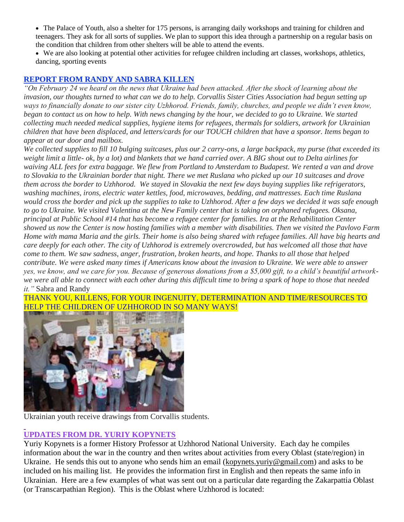- The Palace of Youth, also a shelter for 175 persons, is arranging daily workshops and training for children and teenagers. They ask for all sorts of supplies. We plan to support this idea through a partnership on a regular basis on the condition that children from other shelters will be able to attend the events.
- We are also looking at potential other activities for refugee children including art classes, workshops, athletics, dancing, sporting events

### **REPORT FROM RANDY AND SABRA KILLEN**

*"On February 24 we heard on the news that Ukraine had been attacked. After the shock of learning about the invasion, our thoughts turned to what can we do to help. Corvallis Sister Cities Association had begun setting up*  ways to financially donate to our sister city Uzhhorod. Friends, family, churches, and people we didn't even know, *began to contact us on how to help. With news changing by the hour, we decided to go to Ukraine. We started collecting much needed medical supplies, hygiene items for refugees, thermals for soldiers, artwork for Ukrainian children that have been displaced, and letters/cards for our TOUCH children that have a sponsor. Items began to appear at our door and mailbox.* 

*We collected supplies to fill 10 bulging suitcases, plus our 2 carry-ons, a large backpack, my purse (that exceeded its weight limit a little- ok, by a lot) and blankets that we hand carried over. A BIG shout out to Delta airlines for waiving ALL fees for extra baggage. We flew from Portland to Amsterdam to Budapest. We rented a van and drove to Slovakia to the Ukrainian border that night. There we met Ruslana who picked up our 10 suitcases and drove them across the border to Uzhhorod. We stayed in Slovakia the next few days buying supplies like refrigerators, washing machines, irons, electric water kettles, food, microwaves, bedding, and mattresses. Each time Ruslana would cross the border and pick up the supplies to take to Uzhhorod. After a few days we decided it was safe enough to go to Ukraine. We visited Valentina at the New Family center that is taking on orphaned refugees. Oksana, principal at Public School #14 that has become a refugee center for families. Ira at the Rehabilitation Center showed us now the Center is now hosting families with a member with disabilities. Then we visited the Pavlovo Farm Home with mama Maria and the girls. Their home is also being shared with refugee families. All have big hearts and care deeply for each other. The city of Uzhhorod is extremely overcrowded, but has welcomed all those that have come to them. We saw sadness, anger, frustration, broken hearts, and hope. Thanks to all those that helped contribute. We were asked many times if Americans know about the invasion to Ukraine. We were able to answer yes, we know, and we care for you. Because of generous donations from a \$5,000 gift, to a child's beautiful artworkwe were all able to connect with each other during this difficult time to bring a spark of hope to those that needed it."* Sabra and Randy

# THANK YOU, KILLENS, FOR YOUR INGENUITY, DETERMINATION AND TIME/RESOURCES TO HELP THE CHILDREN OF UZHHOROD IN SO MANY WAYS!



Ukrainian youth receive drawings from Corvallis students.

# **UPDATES FROM DR. YURIY KOPYNETS**

Yuriy Kopynets is a former History Professor at Uzhhorod National University. Each day he compiles information about the war in the country and then writes about activities from every Oblast (state/region) in Ukraine. He sends this out to anyone who sends him an email [\(kopynets.yuriy@gmail.com\)](mailto:kopynets.yuriy@gmail.com) and asks to be included on his mailing list. He provides the information first in English and then repeats the same info in Ukrainian. Here are a few examples of what was sent out on a particular date regarding the Zakarpattia Oblast (or Transcarpathian Region). This is the Oblast where Uzhhorod is located: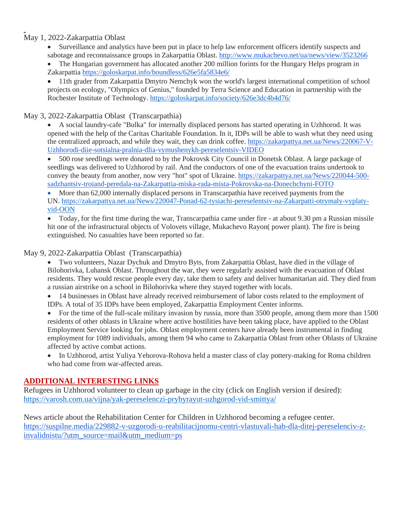# May 1, 2022-Zakarpattia Oblast

• Surveillance and analytics have been put in place to help law enforcement officers identify suspects and sabotage and reconnaissance groups in Zakarpattia Oblast. <http://www.mukachevo.net/ua/news/view/3523266>

• The Hungarian government has allocated another 200 million forints for the Hungary Helps program in Zakarpattia <https://goloskarpat.info/boundless/626e5fa5834e6/>

• 11th grader from Zakarpattia Dmytro Nemchyk won the world's largest international competition of school projects on ecology, "Olympics of Genius," founded by Terra Science and Education in partnership with the Rochester Institute of Technology. <https://goloskarpat.info/society/626e3dc4b4d76/>

## May 3, 2022-Zakarpattia Oblast (Transcarpathia)

• A social laundry-cafe "Bulka" for internally displaced persons has started operating in Uzhhorod. It was opened with the help of the Caritas Charitable Foundation. In it, IDPs will be able to wash what they need using the centralized approach, and while they wait, they can drink coffee. [https://zakarpattya.net.ua/News/220067-V-](https://zakarpattya.net.ua/News/220067-V-Uzhhorodi-diie-sotsialna-pralnia-dlia-vymushenykh-pereselentsiv-VIDEO)[Uzhhorodi-diie-sotsialna-pralnia-dlia-vymushenykh-pereselentsiv-VIDEO](https://zakarpattya.net.ua/News/220067-V-Uzhhorodi-diie-sotsialna-pralnia-dlia-vymushenykh-pereselentsiv-VIDEO)

• 500 rose seedlings were donated to by the Pokrovsk City Council in Donetsk Oblast. A large package of seedlings was delivered to Uzhhorod by rail. And the conductors of one of the evacuation trains undertook to convey the beauty from another, now very "hot" spot of Ukraine. [https://zakarpattya.net.ua/News/220044-500](https://zakarpattya.net.ua/News/220044-500-sadzhantsiv-troiand-peredala-na-Zakarpattia-miska-rada-mista-Pokrovska-na-Donechchyni-FOTO) [sadzhantsiv-troiand-peredala-na-Zakarpattia-miska-rada-mista-Pokrovska-na-Donechchyni-FOTO](https://zakarpattya.net.ua/News/220044-500-sadzhantsiv-troiand-peredala-na-Zakarpattia-miska-rada-mista-Pokrovska-na-Donechchyni-FOTO)

• More than 62,000 internally displaced persons in Transcarpathia have received payments from the UN. [https://zakarpattya.net.ua/News/220047-Ponad-62-tysiachi-pereselentsiv-na-Zakarpatti-otrymaly-vyplaty](https://zakarpattya.net.ua/News/220047-Ponad-62-tysiachi-pereselentsiv-na-Zakarpatti-otrymaly-vyplaty-vid-OON)[vid-OON](https://zakarpattya.net.ua/News/220047-Ponad-62-tysiachi-pereselentsiv-na-Zakarpatti-otrymaly-vyplaty-vid-OON)

• Today, for the first time during the war, Transcarpathia came under fire - at about 9.30 pm a Russian missile hit one of the infrastructural objects of Volovets village, Mukachevo Rayon( power plant). The fire is being extinguished. No casualties have been reported so far.

### May 9, 2022-Zakarpattia Oblast (Transcarpathia)

• Two volunteers, Nazar Dychuk and Dmytro Byts, from Zakarpattia Oblast, have died in the village of Bilohorivka, Luhansk Oblast. Throughout the war, they were regularly assisted with the evacuation of Oblast residents. They would rescue people every day, take them to safety and deliver humanitarian aid. They died from a russian airstrike on a school in Bilohorivka where they stayed together with locals.

• 14 businesses in Oblast have already received reimbursement of labor costs related to the employment of IDPs. A total of 35 IDPs have been employed, Zakarpattia Employment Center informs.

• For the time of the full-scale military invasion by russia, more than 3500 people, among them more than 1500 residents of other oblasts in Ukraine where active hostilities have been taking place, have applied to the Oblast Employment Service looking for jobs. Oblast employment centers have already been instrumental in finding employment for 1089 individuals, among them 94 who came to Zakarpattia Oblast from other Oblasts of Ukraine affected by active combat actions.

• In Uzhhorod, artist Yuliya Yehorova-Rohova held a master class of clay pottery-making for Roma children who had come from war-affected areas.

### **ADDITIONAL INTERESTING LINKS**

Refugees in Uzhhorod volunteer to clean up garbage in the city (click on English version if desired): <https://varosh.com.ua/vijna/yak-pereselenczi-prybyrayut-uzhgorod-vid-smittya/>

News article about the Rehabilitation Center for Children in Uzhhorod becoming a refugee center. [https://suspilne.media/229882-v-uzgorodi-u-reabilitacijnomu-centri-vlastuvali-hab-dla-ditej-pereselenciv-z](https://suspilne.media/229882-v-uzgorodi-u-reabilitacijnomu-centri-vlastuvali-hab-dla-ditej-pereselenciv-z-invalidnistu/?utm_source=mail&utm_medium=ps)[invalidnistu/?utm\\_source=mail&utm\\_medium=ps](https://suspilne.media/229882-v-uzgorodi-u-reabilitacijnomu-centri-vlastuvali-hab-dla-ditej-pereselenciv-z-invalidnistu/?utm_source=mail&utm_medium=ps)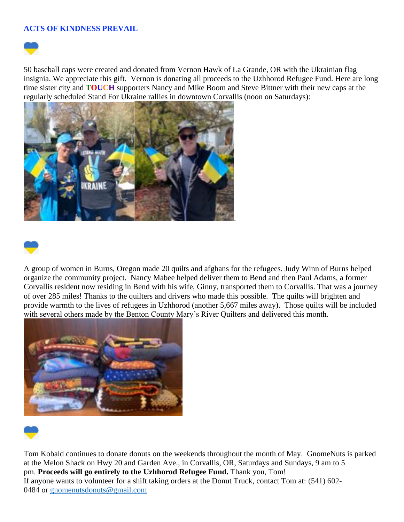### **ACTS OF KINDNESS PREVAIL**



50 baseball caps were created and donated from Vernon Hawk of La Grande, OR with the Ukrainian flag insignia. We appreciate this gift. Vernon is donating all proceeds to the Uzhhorod Refugee Fund. Here are long time sister city and **TOUCH** supporters Nancy and Mike Boom and Steve Bittner with their new caps at the regularly scheduled Stand For Ukraine rallies in downtown Corvallis (noon on Saturdays):





A group of women in Burns, Oregon made 20 quilts and afghans for the refugees. Judy Winn of Burns helped organize the community project. Nancy Mabee helped deliver them to Bend and then Paul Adams, a former Corvallis resident now residing in Bend with his wife, Ginny, transported them to Corvallis. That was a journey of over 285 miles! Thanks to the quilters and drivers who made this possible. The quilts will brighten and provide warmth to the lives of refugees in Uzhhorod (another 5,667 miles away). Those quilts will be included with several others made by the Benton County Mary's River Quilters and delivered this month.





Tom Kobald continues to donate donuts on the weekends throughout the month of May. GnomeNuts is parked at the Melon Shack on Hwy 20 and Garden Ave., in Corvallis, OR, Saturdays and Sundays, 9 am to 5 pm. **Proceeds will go entirely to the Uzhhorod Refugee Fund.** Thank you, Tom! If anyone wants to volunteer for a shift taking orders at the Donut Truck, contact Tom at: (541) 602 0484 or [gnomenutsdonuts@gmail.com](mailto:gnomenutsdonuts@gmail.com)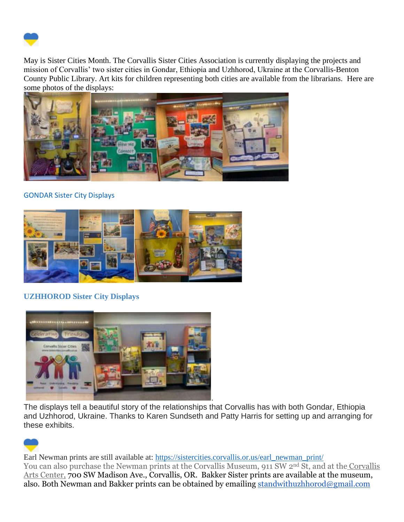

May is Sister Cities Month. The Corvallis Sister Cities Association is currently displaying the projects and mission of Corvallis' two sister cities in Gondar, Ethiopia and Uzhhorod, Ukraine at the Corvallis-Benton County Public Library. Art kits for children representing both cities are available from the librarians. Here are some photos of the displays:



# GONDAR Sister City Displays



# **UZHHOROD Sister City Displays**



The displays tell a beautiful story of the relationships that Corvallis has with both Gondar, Ethiopia and Uzhhorod, Ukraine. Thanks to Karen Sundseth and Patty Harris for setting up and arranging for these exhibits.



Earl Newman prints are still available at: [https://sistercities.corvallis.or.us/earl\\_newman\\_print/](https://sistercities.corvallis.or.us/earl_newman_print/) You can also purchase the Newman prints at the Corvallis Museum, 911 SW 2<sup>nd</sup> St, and at the Corvallis Arts Center, 700 SW Madison Ave., Corvallis, OR. Bakker Sister prints are available at the museum, also. Both Newman and Bakker prints can be obtained by emailing [standwithuzhhorod@gmail.com](mailto:standwithuzhhorod@gmail.com)